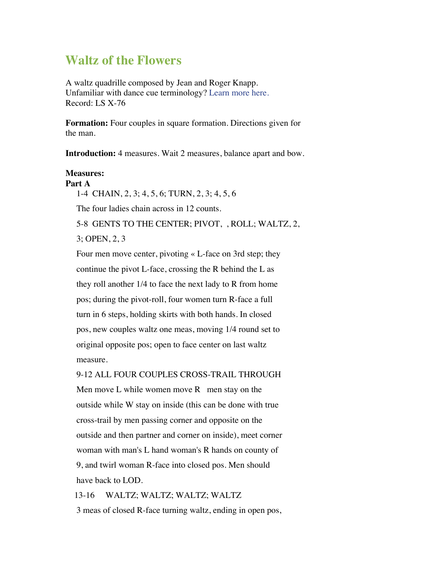# **Waltz of the Flowers**

A waltz quadrille composed by Jean and Roger Knapp. Unfamiliar with dance cue terminology? Learn more here. Record: LS X-76

**Formation:** Four couples in square formation. Directions given for the man.

**Introduction:** 4 measures. Wait 2 measures, balance apart and bow.

#### **Measures: Part A**

1-4 CHAIN, 2, 3; 4, 5, 6; TURN, 2, 3; 4, 5, 6

The four ladies chain across in 12 counts.

5-8 GENTS TO THE CENTER; PIVOT, , ROLL; WALTZ, 2,

3; OPEN, 2, 3

Four men move center, pivoting « L-face on 3rd step; they continue the pivot L-face, crossing the R behind the L as they roll another 1/4 to face the next lady to R from home pos; during the pivot-roll, four women turn R-face a full turn in 6 steps, holding skirts with both hands. In closed pos, new couples waltz one meas, moving 1/4 round set to original opposite pos; open to face center on last waltz measure.

9-12 ALL FOUR COUPLES CROSS-TRAIL THROUGH

Men move L while women move  $R$  men stay on the outside while W stay on inside (this can be done with true cross-trail by men passing corner and opposite on the outside and then partner and corner on inside), meet corner woman with man's L hand woman's R hands on county of 9, and twirl woman R-face into closed pos. Men should have back to LOD.

13-16 WALTZ; WALTZ; WALTZ; WALTZ

3 meas of closed R-face turning waltz, ending in open pos,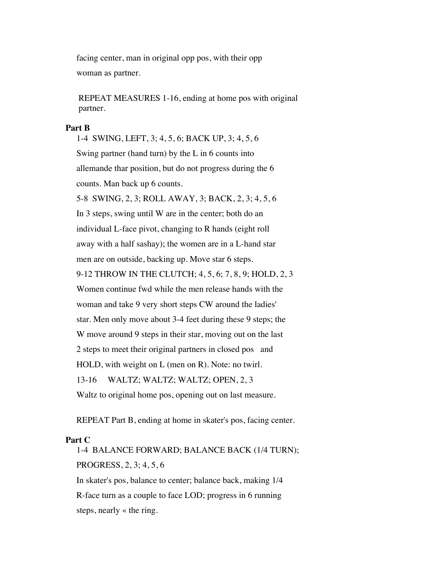facing center, man in original opp pos, with their opp woman as partner.

 REPEAT MEASURES 1-16, ending at home pos with original partner.

#### **Part B**

1-4 SWING, LEFT, 3; 4, 5, 6; BACK UP, 3; 4, 5, 6 Swing partner (hand turn) by the L in 6 counts into allemande thar position, but do not progress during the 6 counts. Man back up 6 counts. 5-8 SWING, 2, 3; ROLL AWAY, 3; BACK, 2, 3; 4, 5, 6 In 3 steps, swing until W are in the center; both do an individual L-face pivot, changing to R hands (eight roll away with a half sashay); the women are in a L-hand star men are on outside, backing up. Move star 6 steps. 9-12 THROW IN THE CLUTCH; 4, 5, 6; 7, 8, 9; HOLD, 2, 3 Women continue fwd while the men release hands with the woman and take 9 very short steps CW around the ladies' star. Men only move about 3-4 feet during these 9 steps; the W move around 9 steps in their star, moving out on the last 2 steps to meet their original partners in closed pos and HOLD, with weight on L (men on R). Note: no twirl. 13-16 WALTZ; WALTZ; WALTZ; OPEN, 2, 3 Waltz to original home pos, opening out on last measure.

REPEAT Part B, ending at home in skater's pos, facing center.

### **Part C**

1-4 BALANCE FORWARD; BALANCE BACK (1/4 TURN); PROGRESS, 2, 3; 4, 5, 6 In skater's pos, balance to center; balance back, making 1/4 R-face turn as a couple to face LOD; progress in 6 running

steps, nearly « the ring.